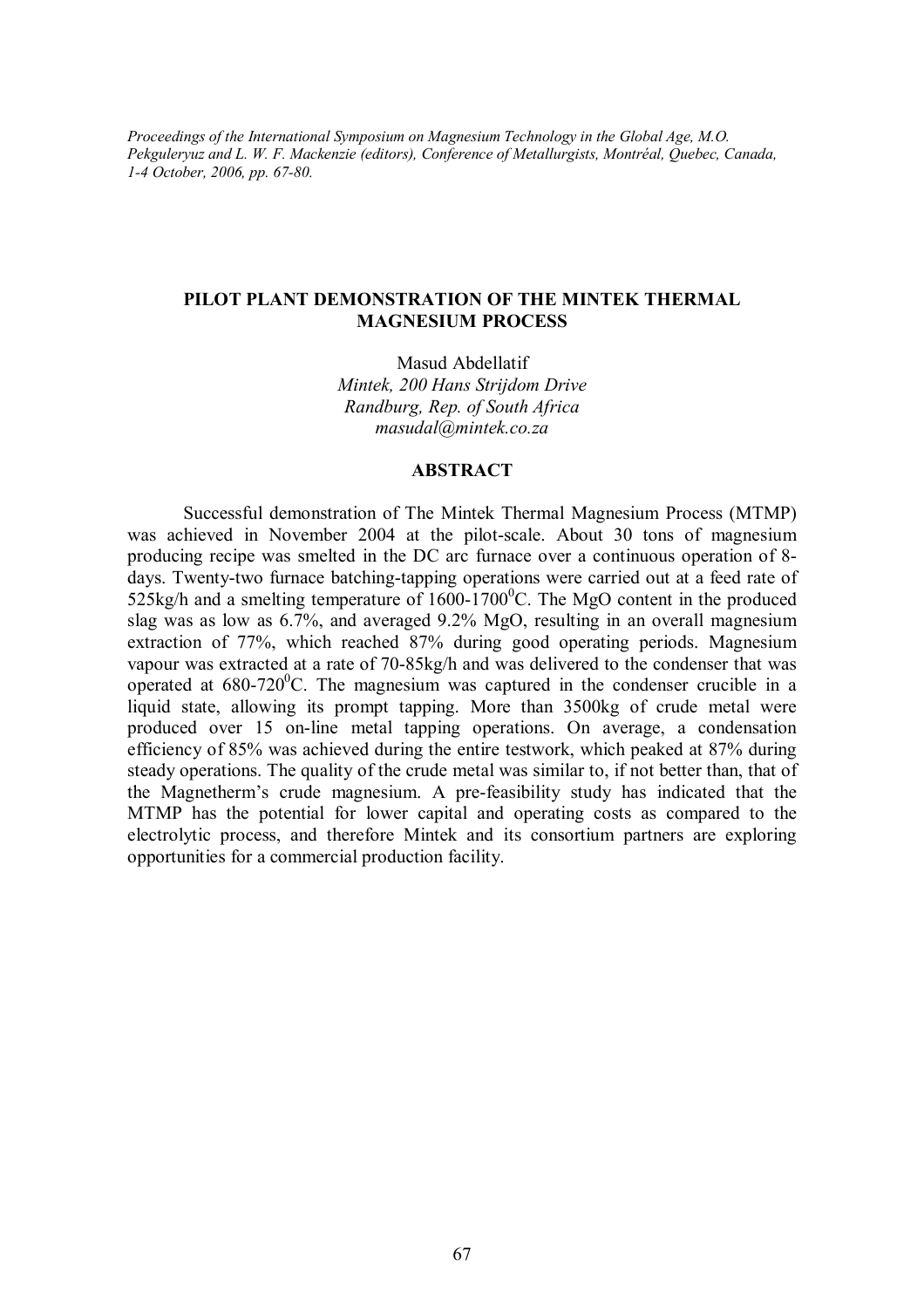*Proceedings of the International Symposium on Magnesium Technology in the Global Age, M.O. Pekguleryuz and L. W. F. Mackenzie (editors), Conference of Metallurgists, Montréal, Quebec, Canada, 1-4 October, 2006, pp. 67-80.* 

# **PILOT PLANT DEMONSTRATION OF THE MINTEK THERMAL MAGNESIUM PROCESS**

Masud Abdellatif *Mintek, 200 Hans Strijdom Drive Randburg, Rep. of South Africa [masudal@mintek.co.za](mailto:masudal@mintek.co.za)*

### **ABSTRACT**

Successful demonstration of The Mintek Thermal Magnesium Process (MTMP) was achieved in November 2004 at the pilot-scale. About 30 tons of magnesium producing recipe was smelted in the DC arc furnace over a continuous operation of 8 days. Twenty-two furnace batching-tapping operations were carried out at a feed rate of 525kg/h and a smelting temperature of  $1600-1700^{\circ}$ C. The MgO content in the produced slag was as low as 6.7%, and averaged 9.2% MgO, resulting in an overall magnesium extraction of 77%, which reached 87% during good operating periods. Magnesium vapour was extracted at a rate of 70-85kg/h and was delivered to the condenser that was operated at  $680-720$ <sup>o</sup>C. The magnesium was captured in the condenser crucible in a liquid state, allowing its prompt tapping. More than 3500kg of crude metal were produced over 15 on-line metal tapping operations. On average, a condensation efficiency of 85% was achieved during the entire testwork, which peaked at 87% during steady operations. The quality of the crude metal was similar to, if not better than, that of the Magnetherm's crude magnesium. A pre-feasibility study has indicated that the MTMP has the potential for lower capital and operating costs as compared to the electrolytic process, and therefore Mintek and its consortium partners are exploring opportunities for a commercial production facility.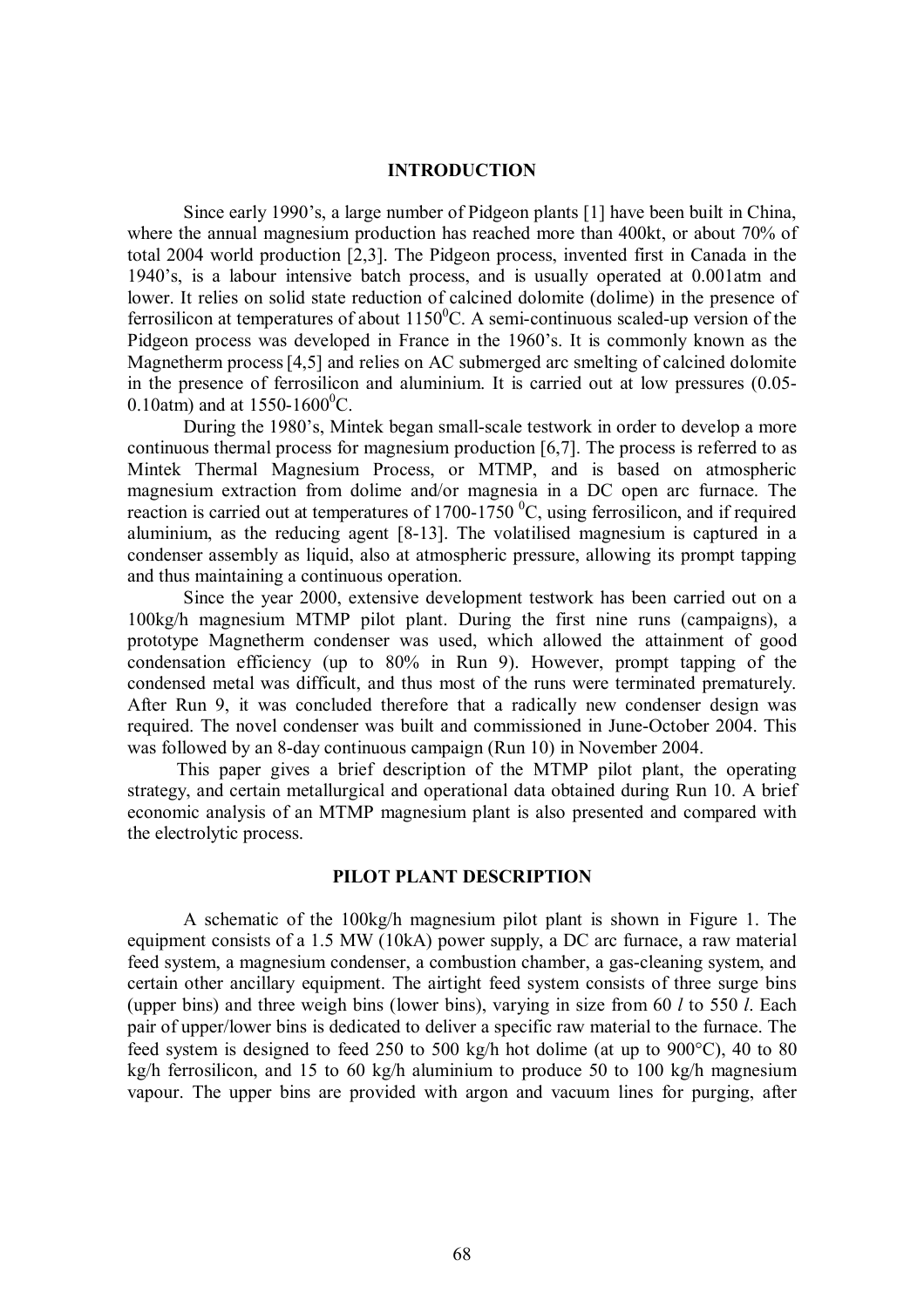### **INTRODUCTION**

Since early 1990's, a large number of Pidgeon plants [1] have been built in China, where the annual magnesium production has reached more than 400kt, or about 70% of total 2004 world production [2,3]. The Pidgeon process, invented first in Canada in the 1940's, is a labour intensive batch process, and is usually operated at 0.001atm and lower. It relies on solid state reduction of calcined dolomite (dolime) in the presence of ferrosilicon at temperatures of about  $1150^{\circ}$ C. A semi-continuous scaled-up version of the Pidgeon process was developed in France in the 1960's. It is commonly known as the Magnetherm process [4,5] and relies on AC submerged arc smelting of calcined dolomite in the presence of ferrosilicon and aluminium. It is carried out at low pressures (0.05- 0.10atm) and at  $1550-1600^{\circ}$ C.

During the 1980's, Mintek began small-scale testwork in order to develop a more continuous thermal process for magnesium production [6,7]. The process is referred to as Mintek Thermal Magnesium Process, or MTMP, and is based on atmospheric magnesium extraction from dolime and/or magnesia in a DC open arc furnace. The reaction is carried out at temperatures of  $1700-1750$  °C, using ferrosilicon, and if required aluminium, as the reducing agent [8-13]. The volatilised magnesium is captured in a condenser assembly as liquid, also at atmospheric pressure, allowing its prompt tapping and thus maintaining a continuous operation.

Since the year 2000, extensive development testwork has been carried out on a 100kg/h magnesium MTMP pilot plant. During the first nine runs (campaigns), a prototype Magnetherm condenser was used, which allowed the attainment of good condensation efficiency (up to 80% in Run 9). However, prompt tapping of the condensed metal was difficult, and thus most of the runs were terminated prematurely. After Run 9, it was concluded therefore that a radically new condenser design was required. The novel condenser was built and commissioned in June-October 2004. This was followed by an 8-day continuous campaign (Run 10) in November 2004.

This paper gives a brief description of the MTMP pilot plant, the operating strategy, and certain metallurgical and operational data obtained during Run 10. A brief economic analysis of an MTMP magnesium plant is also presented and compared with the electrolytic process.

### **PILOT PLANT DESCRIPTION**

A schematic of the 100kg/h magnesium pilot plant is shown in Figure 1. The equipment consists of a 1.5 MW (10kA) power supply, a DC arc furnace, a raw material feed system, a magnesium condenser, a combustion chamber, a gas-cleaning system, and certain other ancillary equipment. The airtight feed system consists of three surge bins (upper bins) and three weigh bins (lower bins), varying in size from 60 *l* to 550 *l*. Each pair of upper/lower bins is dedicated to deliver a specific raw material to the furnace. The feed system is designed to feed 250 to 500 kg/h hot dolime (at up to 900°C), 40 to 80 kg/h ferrosilicon, and 15 to 60 kg/h aluminium to produce 50 to 100 kg/h magnesium vapour. The upper bins are provided with argon and vacuum lines for purging, after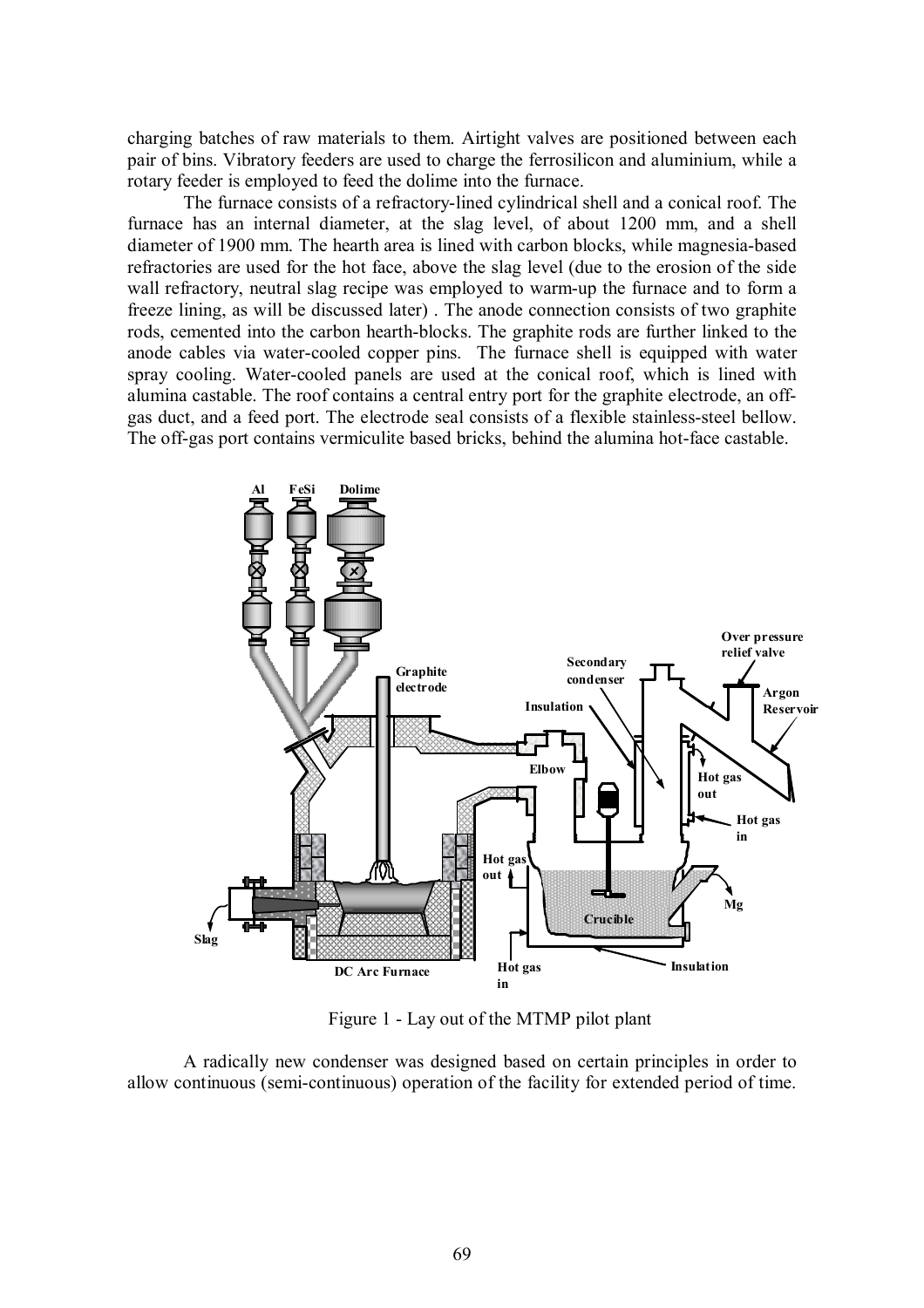charging batches of raw materials to them. Airtight valves are positioned between each pair of bins. Vibratory feeders are used to charge the ferrosilicon and aluminium, while a rotary feeder is employed to feed the dolime into the furnace.

The furnace consists of a refractory-lined cylindrical shell and a conical roof. The furnace has an internal diameter, at the slag level, of about 1200 mm, and a shell diameter of 1900 mm. The hearth area is lined with carbon blocks, while magnesia-based refractories are used for the hot face, above the slag level (due to the erosion of the side wall refractory, neutral slag recipe was employed to warm-up the furnace and to form a freeze lining, as will be discussed later) . The anode connection consists of two graphite rods, cemented into the carbon hearth-blocks. The graphite rods are further linked to the anode cables via water-cooled copper pins. The furnace shell is equipped with water spray cooling. Water-cooled panels are used at the conical roof, which is lined with alumina castable. The roof contains a central entry port for the graphite electrode, an offgas duct, and a feed port. The electrode seal consists of a flexible stainless-steel bellow. The off-gas port contains vermiculite based bricks, behind the alumina hot-face castable.



Figure 1 - Lay out of the MTMP pilot plant

A radically new condenser was designed based on certain principles in order to allow continuous (semi-continuous) operation of the facility for extended period of time.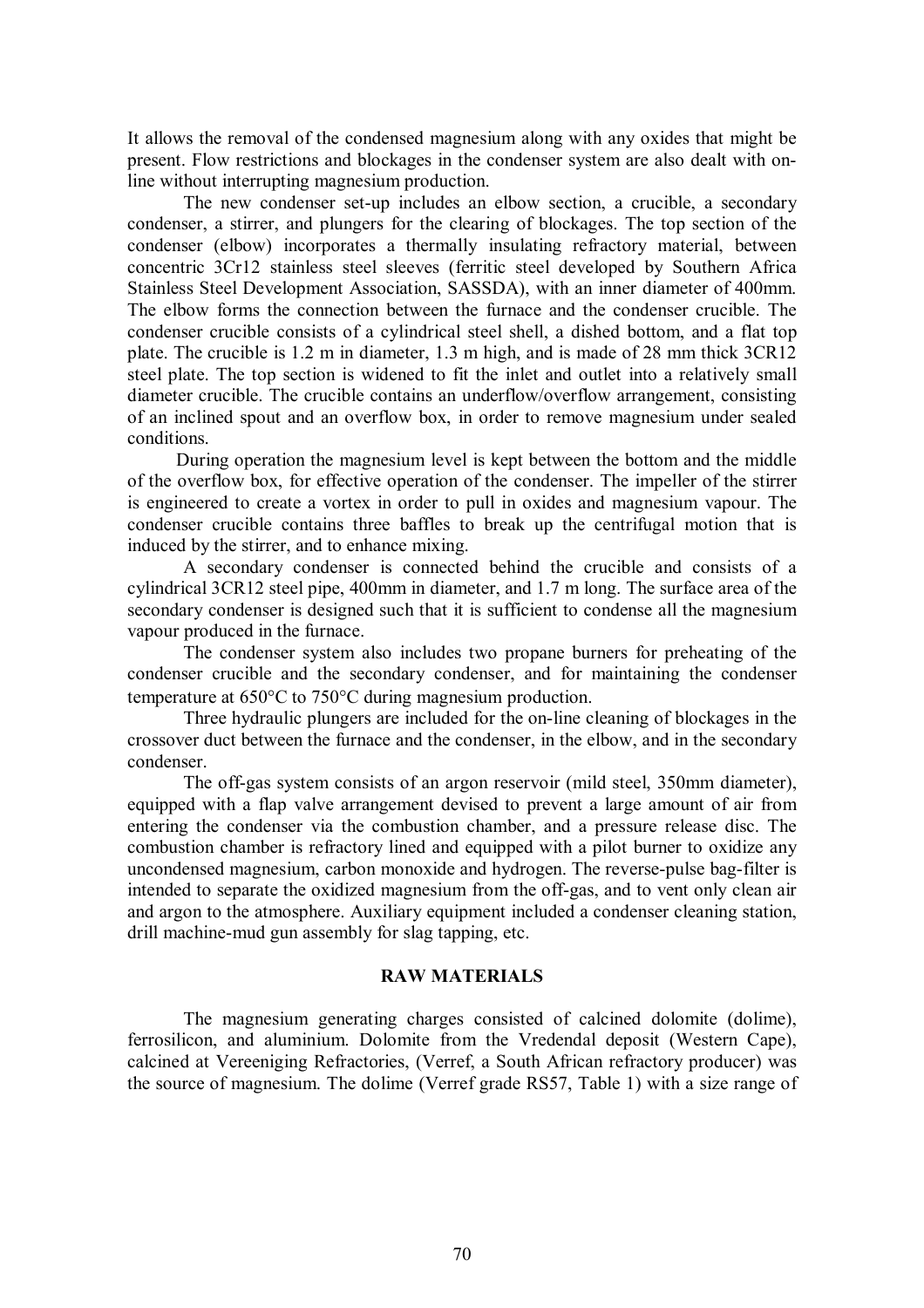It allows the removal of the condensed magnesium along with any oxides that might be present. Flow restrictions and blockages in the condenser system are also dealt with online without interrupting magnesium production.

The new condenser set-up includes an elbow section, a crucible, a secondary condenser, a stirrer, and plungers for the clearing of blockages. The top section of the condenser (elbow) incorporates a thermally insulating refractory material, between concentric 3Cr12 stainless steel sleeves (ferritic steel developed by Southern Africa Stainless Steel Development Association, SASSDA), with an inner diameter of 400mm. The elbow forms the connection between the furnace and the condenser crucible. The condenser crucible consists of a cylindrical steel shell, a dished bottom, and a flat top plate. The crucible is 1.2 m in diameter, 1.3 m high, and is made of 28 mm thick 3CR12 steel plate. The top section is widened to fit the inlet and outlet into a relatively small diameter crucible. The crucible contains an underflow/overflow arrangement, consisting of an inclined spout and an overflow box, in order to remove magnesium under sealed conditions.

During operation the magnesium level is kept between the bottom and the middle of the overflow box, for effective operation of the condenser. The impeller of the stirrer is engineered to create a vortex in order to pull in oxides and magnesium vapour. The condenser crucible contains three baffles to break up the centrifugal motion that is induced by the stirrer, and to enhance mixing.

A secondary condenser is connected behind the crucible and consists of a cylindrical 3CR12 steel pipe, 400mm in diameter, and 1.7 m long. The surface area of the secondary condenser is designed such that it is sufficient to condense all the magnesium vapour produced in the furnace.

The condenser system also includes two propane burners for preheating of the condenser crucible and the secondary condenser, and for maintaining the condenser temperature at 650°C to 750°C during magnesium production.

Three hydraulic plungers are included for the on-line cleaning of blockages in the crossover duct between the furnace and the condenser, in the elbow, and in the secondary condenser.

The off-gas system consists of an argon reservoir (mild steel, 350mm diameter), equipped with a flap valve arrangement devised to prevent a large amount of air from entering the condenser via the combustion chamber, and a pressure release disc. The combustion chamber is refractory lined and equipped with a pilot burner to oxidize any uncondensed magnesium, carbon monoxide and hydrogen. The reverse-pulse bag-filter is intended to separate the oxidized magnesium from the off-gas, and to vent only clean air and argon to the atmosphere. Auxiliary equipment included a condenser cleaning station, drill machine-mud gun assembly for slag tapping, etc.

### **RAW MATERIALS**

The magnesium generating charges consisted of calcined dolomite (dolime), ferrosilicon, and aluminium. Dolomite from the Vredendal deposit (Western Cape), calcined at Vereeniging Refractories, (Verref, a South African refractory producer) was the source of magnesium. The dolime (Verref grade RS57, Table 1) with a size range of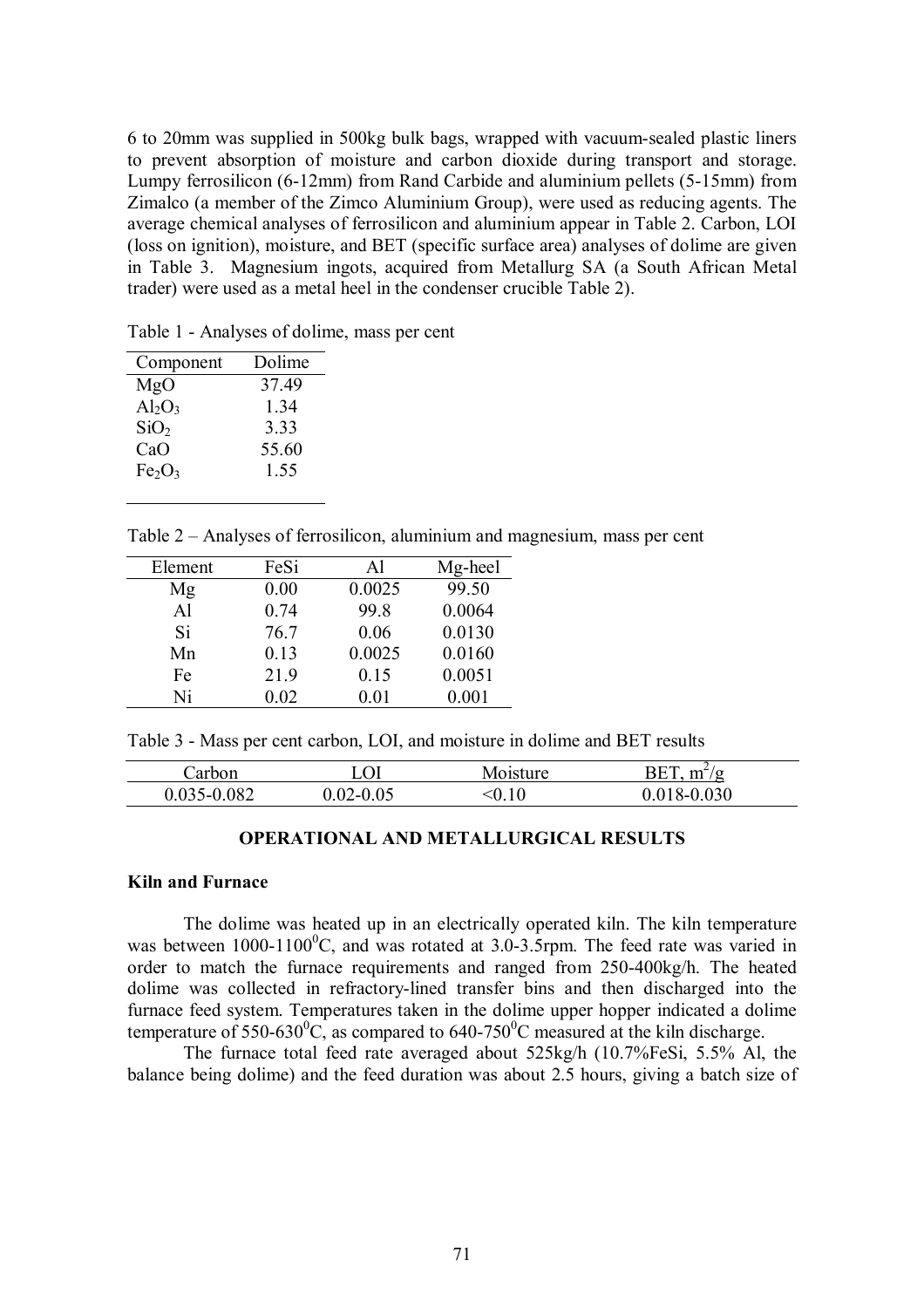6 to 20mm was supplied in 500kg bulk bags, wrapped with vacuum-sealed plastic liners to prevent absorption of moisture and carbon dioxide during transport and storage. Lumpy ferrosilicon (6-12mm) from Rand Carbide and aluminium pellets (5-15mm) from Zimalco (a member of the Zimco Aluminium Group), were used as reducing agents. The average chemical analyses of ferrosilicon and aluminium appear in Table 2. Carbon, LOI (loss on ignition), moisture, and BET (specific surface area) analyses of dolime are given in Table 3. Magnesium ingots, acquired from Metallurg SA (a South African Metal trader) were used as a metal heel in the condenser crucible Table 2).

Table 1 - Analyses of dolime, mass per cent

| Component                      | Dolime |
|--------------------------------|--------|
| MgO                            | 37.49  |
| $Al_2O_3$                      | 1.34   |
| SiO <sub>2</sub>               | 333    |
| CaO                            | 55.60  |
| Fe <sub>2</sub> O <sub>3</sub> | 1.55   |
|                                |        |

Table 2 – Analyses of ferrosilicon, aluminium and magnesium, mass per cent

| Element        | FeSi | Al     | Mg-heel |
|----------------|------|--------|---------|
| Mg             | 0.00 | 0.0025 | 99.50   |
| A <sub>1</sub> | 0.74 | 99.8   | 0.0064  |
| <b>Si</b>      | 76.7 | 0.06   | 0.0130  |
| Mn             | 0.13 | 0.0025 | 0.0160  |
| Fe             | 21.9 | 0.15   | 0.0051  |
| Ni             | 0.02 | 0.01   | 0.001   |

Table 3 - Mass per cent carbon, LOI, and moisture in dolime and BET results

| arbor |             | `91sture_ | RET<br>$\mathbf{m}^{\mu}$<br>$\alpha$ |
|-------|-------------|-----------|---------------------------------------|
| 0.082 | ' – I<br>∪∠ | ∿∪. I ∪   | .030<br>^-                            |

#### **OPERATIONAL AND METALLURGICAL RESULTS**

#### **Kiln and Furnace**

The dolime was heated up in an electrically operated kiln. The kiln temperature was between  $1000-1100^0C$ , and was rotated at 3.0-3.5rpm. The feed rate was varied in order to match the furnace requirements and ranged from 250-400kg/h. The heated dolime was collected in refractory-lined transfer bins and then discharged into the furnace feed system. Temperatures taken in the dolime upper hopper indicated a dolime temperature of  $550-630^{\circ}$ C, as compared to  $640-750^{\circ}$ C measured at the kiln discharge.

The furnace total feed rate averaged about 525kg/h (10.7%FeSi, 5.5% Al, the balance being dolime) and the feed duration was about 2.5 hours, giving a batch size of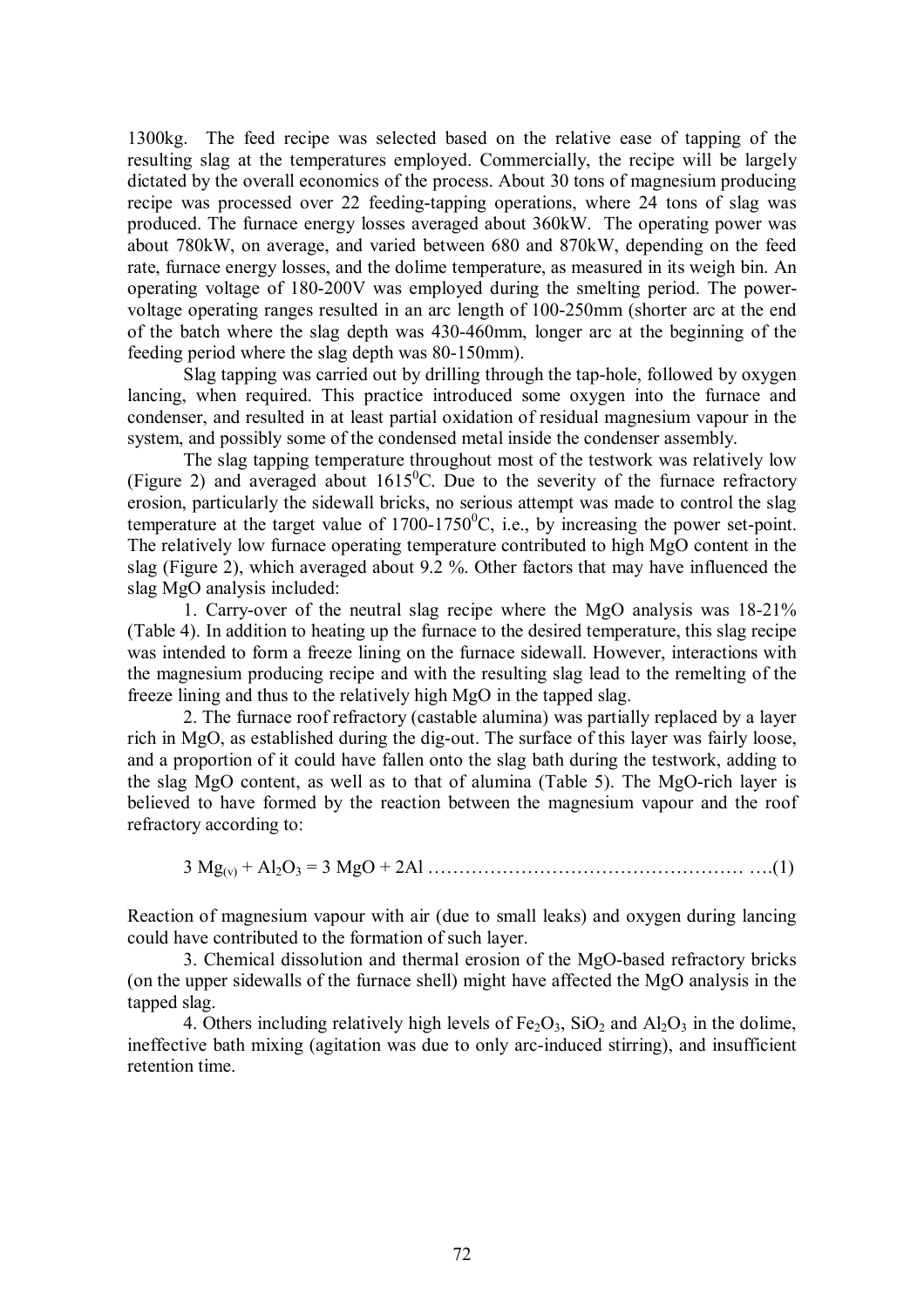1300kg. The feed recipe was selected based on the relative ease of tapping of the resulting slag at the temperatures employed. Commercially, the recipe will be largely dictated by the overall economics of the process. About 30 tons of magnesium producing recipe was processed over 22 feeding-tapping operations, where 24 tons of slag was produced. The furnace energy losses averaged about 360kW. The operating power was about 780kW, on average, and varied between 680 and 870kW, depending on the feed rate, furnace energy losses, and the dolime temperature, as measured in its weigh bin. An operating voltage of 180-200V was employed during the smelting period. The powervoltage operating ranges resulted in an arc length of 100-250mm (shorter arc at the end of the batch where the slag depth was 430-460mm, longer arc at the beginning of the feeding period where the slag depth was 80-150mm).

Slag tapping was carried out by drilling through the tap-hole, followed by oxygen lancing, when required. This practice introduced some oxygen into the furnace and condenser, and resulted in at least partial oxidation of residual magnesium vapour in the system, and possibly some of the condensed metal inside the condenser assembly.

The slag tapping temperature throughout most of the testwork was relatively low (Figure 2) and averaged about  $1615^{\circ}$ C. Due to the severity of the furnace refractory erosion, particularly the sidewall bricks, no serious attempt was made to control the slag temperature at the target value of  $1700-1750^{\circ}$ C, i.e., by increasing the power set-point. The relatively low furnace operating temperature contributed to high MgO content in the slag (Figure 2), which averaged about 9.2 %. Other factors that may have influenced the slag MgO analysis included:

1. Carry-over of the neutral slag recipe where the MgO analysis was 18-21% (Table 4). In addition to heating up the furnace to the desired temperature, this slag recipe was intended to form a freeze lining on the furnace sidewall. However, interactions with the magnesium producing recipe and with the resulting slag lead to the remelting of the freeze lining and thus to the relatively high MgO in the tapped slag.

2. The furnace roof refractory (castable alumina) was partially replaced by a layer rich in MgO, as established during the dig-out. The surface of this layer was fairly loose, and a proportion of it could have fallen onto the slag bath during the testwork, adding to the slag MgO content, as well as to that of alumina (Table 5). The MgO-rich layer is believed to have formed by the reaction between the magnesium vapour and the roof refractory according to:

3 Mg(v) + Al2O<sup>3</sup> = 3 MgO + 2Al …………………………………………… ….(1)

Reaction of magnesium vapour with air (due to small leaks) and oxygen during lancing could have contributed to the formation of such layer.

3. Chemical dissolution and thermal erosion of the MgO-based refractory bricks (on the upper sidewalls of the furnace shell) might have affected the MgO analysis in the tapped slag.

4. Others including relatively high levels of  $Fe<sub>2</sub>O<sub>3</sub>$ , SiO<sub>2</sub> and Al<sub>2</sub>O<sub>3</sub> in the dolime, ineffective bath mixing (agitation was due to only arc-induced stirring), and insufficient retention time.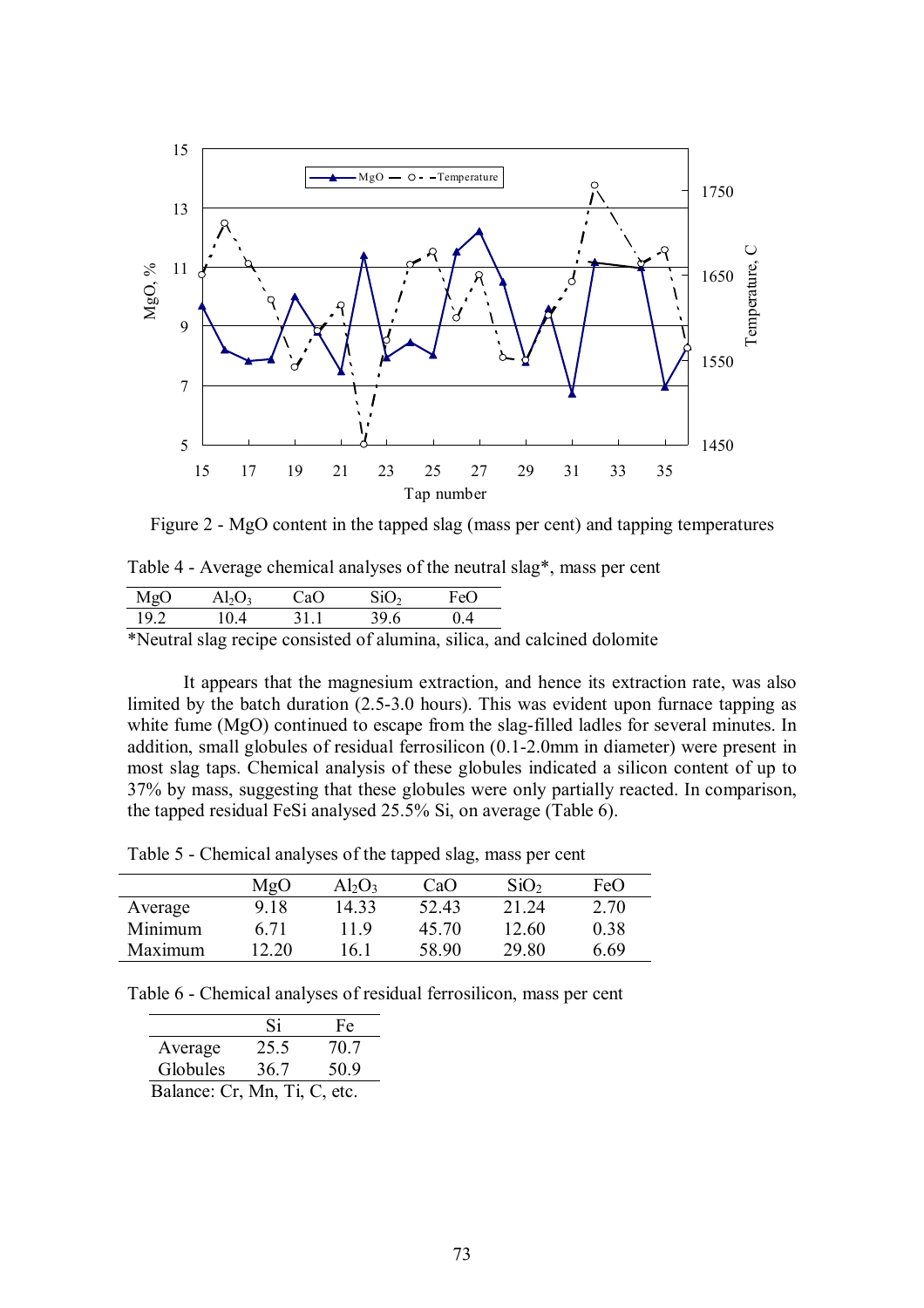

Figure 2 - MgO content in the tapped slag (mass per cent) and tapping temperatures

| Table 4 - Average chemical analyses of the neutral slag*, mass per cent |  |  |  |
|-------------------------------------------------------------------------|--|--|--|
|-------------------------------------------------------------------------|--|--|--|

| MgO  | $Al_2O_3$ | CaO  | SiO <sub>2</sub> | FeO      |
|------|-----------|------|------------------|----------|
| 19.2 | 10.4      | 31.1 | 39.6             | $(1)$ 4  |
| 1.77 |           |      | $\sim$ $\sim$    | $\cdots$ |

\*Neutral slag recipe consisted of alumina, silica, and calcined dolomite

It appears that the magnesium extraction, and hence its extraction rate, was also limited by the batch duration (2.5-3.0 hours). This was evident upon furnace tapping as white fume (MgO) continued to escape from the slag-filled ladles for several minutes. In addition, small globules of residual ferrosilicon (0.1-2.0mm in diameter) were present in most slag taps. Chemical analysis of these globules indicated a silicon content of up to 37% by mass, suggesting that these globules were only partially reacted. In comparison, the tapped residual FeSi analysed 25.5% Si, on average (Table 6).

Table 5 - Chemical analyses of the tapped slag, mass per cent

|         | MgO   | $Al_2O_3$ | CaO   | SiO <sub>2</sub> | FeO  |
|---------|-------|-----------|-------|------------------|------|
| Average | 9.18  | 14.33     | 52.43 | 21 24            | 2.70 |
| Minimum | 6.71  | 119       | 45.70 | 12.60            | 0.38 |
| Maximum | 12 20 | 16 1      | 58.90 | 29.80            | 6 69 |

Table 6 - Chemical analyses of residual ferrosilicon, mass per cent

|                              | Si   | Fe   |  |  |
|------------------------------|------|------|--|--|
| Average                      | 25.5 | 70.7 |  |  |
| Globules                     | 36.7 | 50.9 |  |  |
| Balance: Cr, Mn, Ti, C, etc. |      |      |  |  |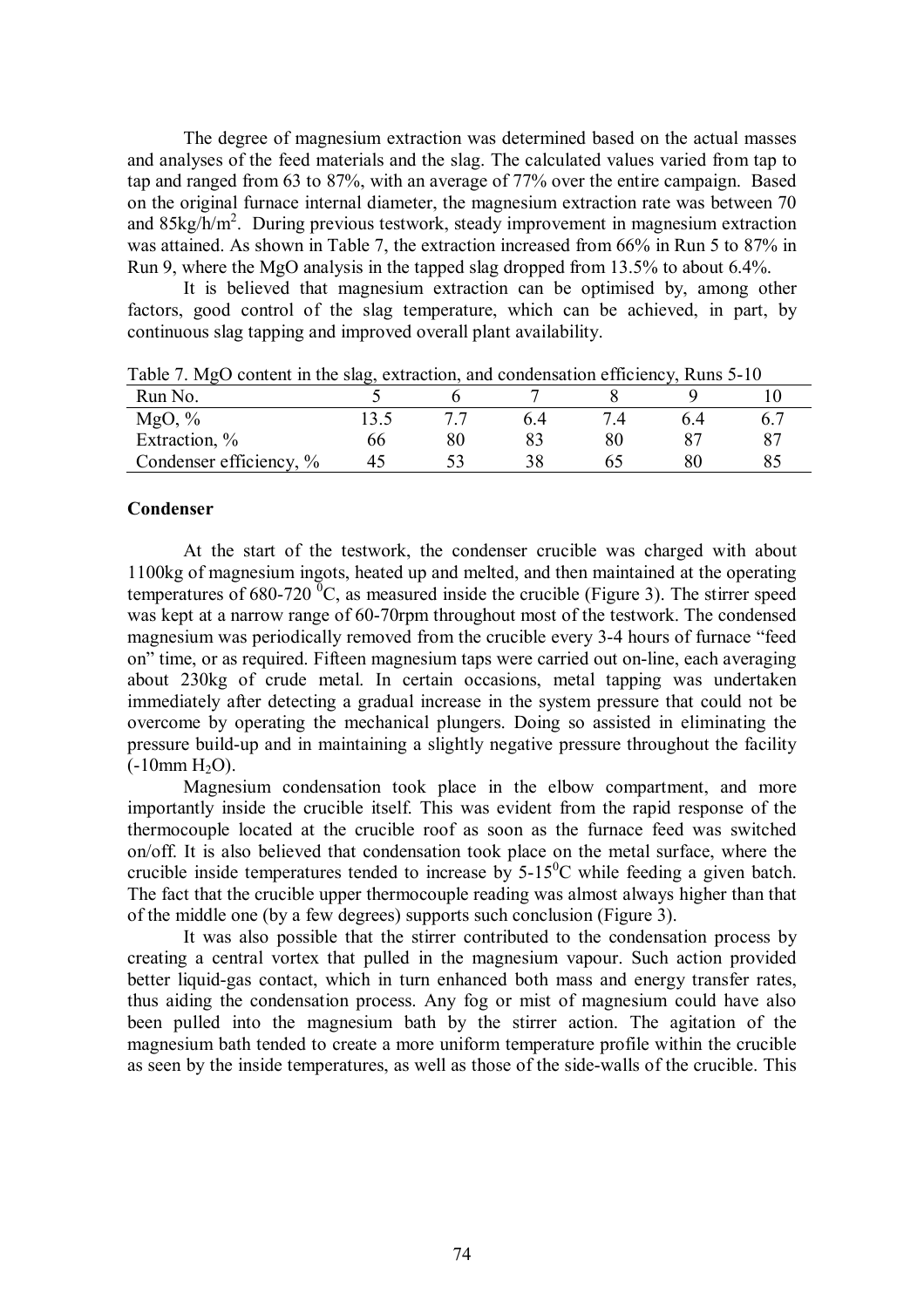The degree of magnesium extraction was determined based on the actual masses and analyses of the feed materials and the slag. The calculated values varied from tap to tap and ranged from 63 to 87%, with an average of 77% over the entire campaign. Based on the original furnace internal diameter, the magnesium extraction rate was between 70 and 85kg/h/m<sup>2</sup>. During previous testwork, steady improvement in magnesium extraction was attained. As shown in Table 7, the extraction increased from 66% in Run 5 to 87% in Run 9, where the MgO analysis in the tapped slag dropped from 13.5% to about 6.4%.

It is believed that magnesium extraction can be optimised by, among other factors, good control of the slag temperature, which can be achieved, in part, by continuous slag tapping and improved overall plant availability.

| . .                     | رت |        |     |     |     |
|-------------------------|----|--------|-----|-----|-----|
| Run No.                 |    |        |     |     |     |
| MgO, $\%$               |    | . .    | ჩ 4 | 6.4 | 6.7 |
| Extraction, %           | oo | $80\,$ |     |     | 87  |
| Condenser efficiency, % |    |        | 38  |     | o.  |

Table 7. MgO content in the slag, extraction, and condensation efficiency, Runs 5-10

### **Condenser**

At the start of the testwork, the condenser crucible was charged with about 1100kg of magnesium ingots, heated up and melted, and then maintained at the operating temperatures of 680-720  ${}^{0}C$ , as measured inside the crucible (Figure 3). The stirrer speed was kept at a narrow range of 60-70rpm throughout most of the testwork. The condensed magnesium was periodically removed from the crucible every 3-4 hours of furnace "feed on" time, or as required. Fifteen magnesium taps were carried out on-line, each averaging about 230kg of crude metal. In certain occasions, metal tapping was undertaken immediately after detecting a gradual increase in the system pressure that could not be overcome by operating the mechanical plungers. Doing so assisted in eliminating the pressure build-up and in maintaining a slightly negative pressure throughout the facility  $(-10$ mm  $H_2O$ ).

Magnesium condensation took place in the elbow compartment, and more importantly inside the crucible itself. This was evident from the rapid response of the thermocouple located at the crucible roof as soon as the furnace feed was switched on/off. It is also believed that condensation took place on the metal surface, where the crucible inside temperatures tended to increase by  $5{\text -}15^0\text{C}$  while feeding a given batch. The fact that the crucible upper thermocouple reading was almost always higher than that of the middle one (by a few degrees) supports such conclusion (Figure 3).

It was also possible that the stirrer contributed to the condensation process by creating a central vortex that pulled in the magnesium vapour. Such action provided better liquid-gas contact, which in turn enhanced both mass and energy transfer rates, thus aiding the condensation process. Any fog or mist of magnesium could have also been pulled into the magnesium bath by the stirrer action. The agitation of the magnesium bath tended to create a more uniform temperature profile within the crucible as seen by the inside temperatures, as well as those of the side-walls of the crucible. This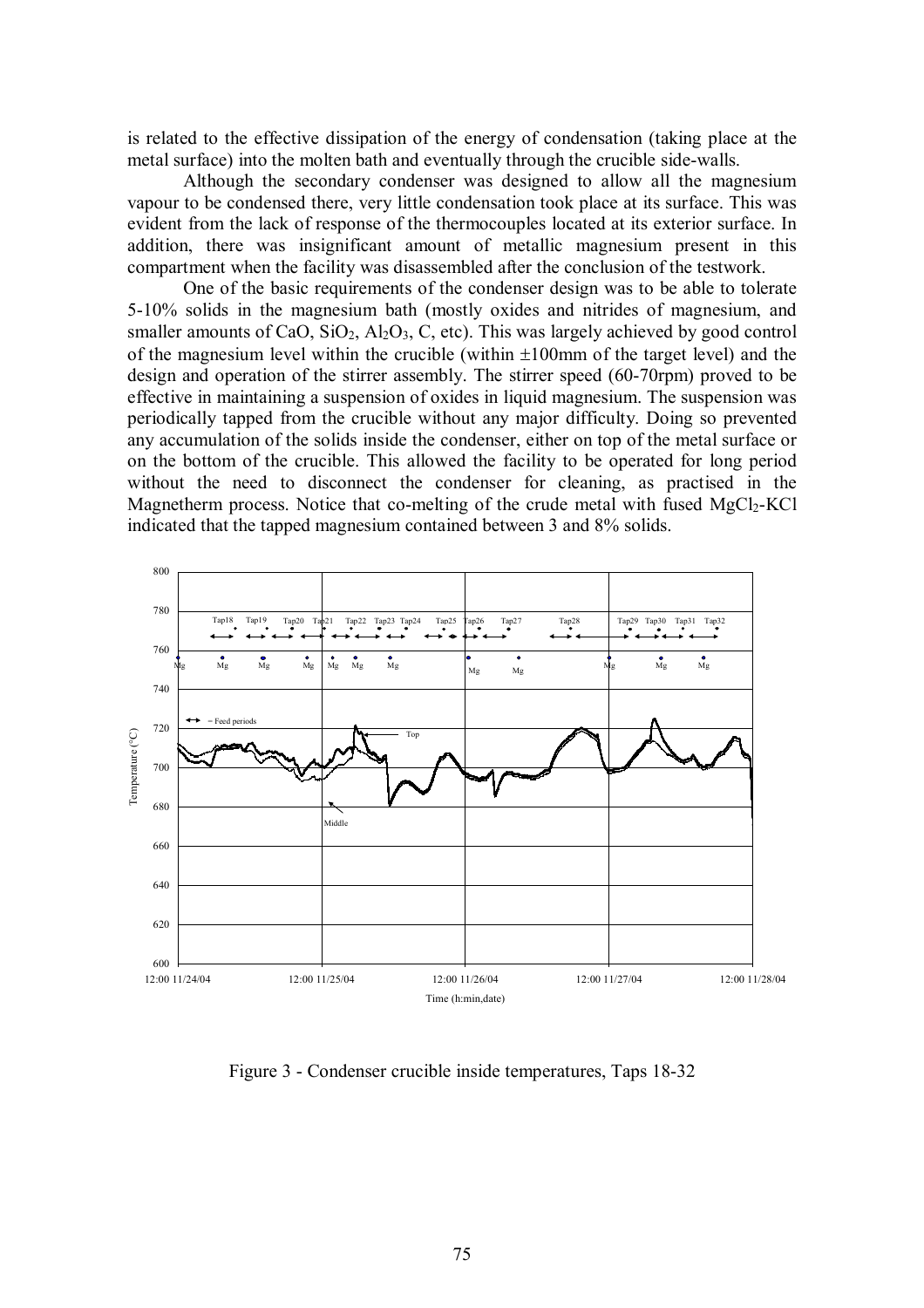is related to the effective dissipation of the energy of condensation (taking place at the metal surface) into the molten bath and eventually through the crucible side-walls.

Although the secondary condenser was designed to allow all the magnesium vapour to be condensed there, very little condensation took place at its surface. This was evident from the lack of response of the thermocouples located at its exterior surface. In addition, there was insignificant amount of metallic magnesium present in this compartment when the facility was disassembled after the conclusion of the testwork.

One of the basic requirements of the condenser design was to be able to tolerate 5-10% solids in the magnesium bath (mostly oxides and nitrides of magnesium, and smaller amounts of CaO,  $SiO<sub>2</sub>$ ,  $Al<sub>2</sub>O<sub>3</sub>$ , C, etc). This was largely achieved by good control of the magnesium level within the crucible (within ±100mm of the target level) and the design and operation of the stirrer assembly. The stirrer speed (60-70rpm) proved to be effective in maintaining a suspension of oxides in liquid magnesium. The suspension was periodically tapped from the crucible without any major difficulty. Doing so prevented any accumulation of the solids inside the condenser, either on top of the metal surface or on the bottom of the crucible. This allowed the facility to be operated for long period without the need to disconnect the condenser for cleaning, as practised in the Magnetherm process. Notice that co-melting of the crude metal with fused  $MgCl<sub>2</sub>-KCl$ indicated that the tapped magnesium contained between 3 and 8% solids.



Figure 3 - Condenser crucible inside temperatures, Taps 18-32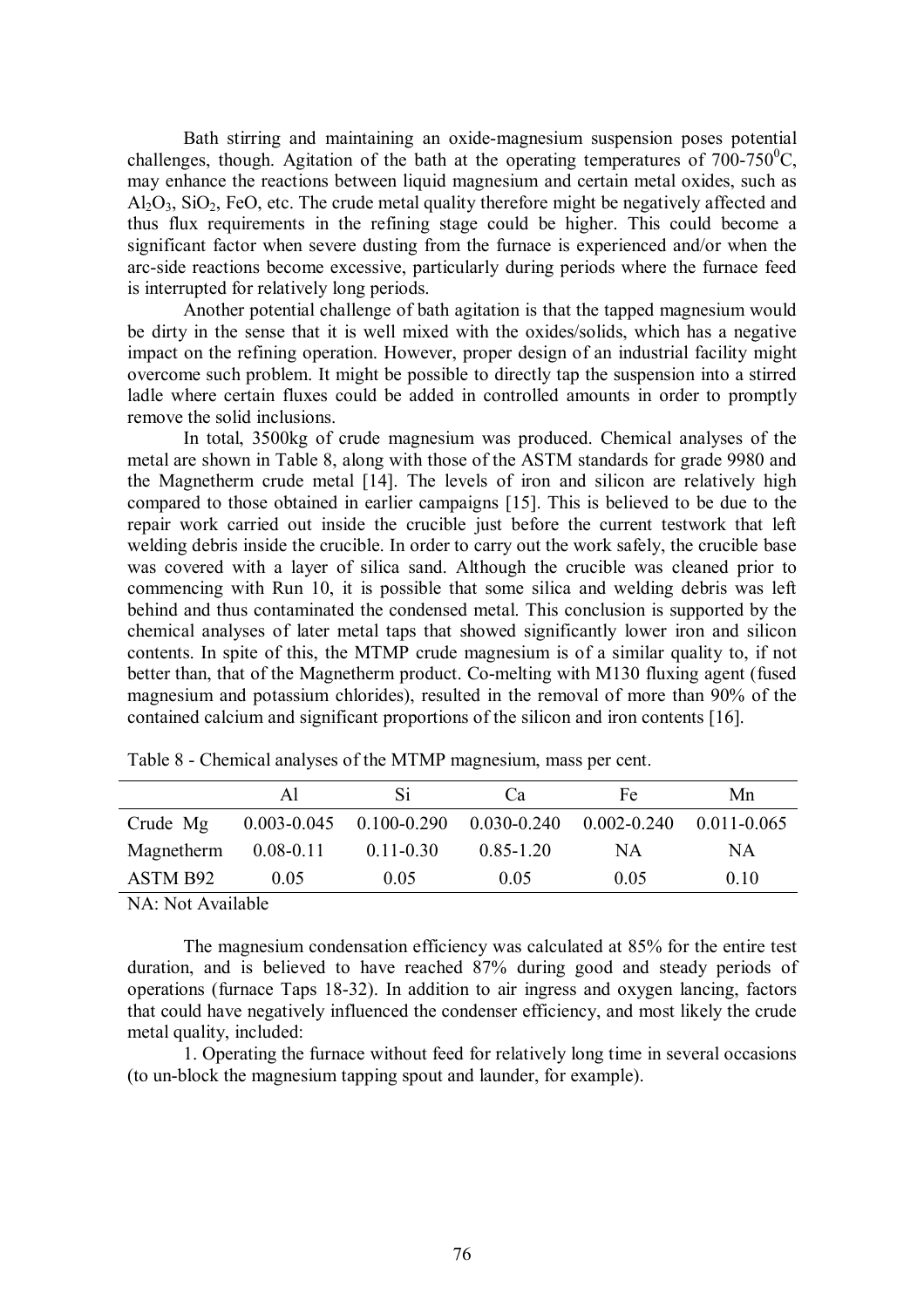Bath stirring and maintaining an oxide-magnesium suspension poses potential challenges, though. Agitation of the bath at the operating temperatures of  $700-750^{\circ}$ C, may enhance the reactions between liquid magnesium and certain metal oxides, such as  $A<sub>1</sub>Q<sub>3</sub>$ ,  $SiO<sub>2</sub>$ , FeO, etc. The crude metal quality therefore might be negatively affected and thus flux requirements in the refining stage could be higher. This could become a significant factor when severe dusting from the furnace is experienced and/or when the arc-side reactions become excessive, particularly during periods where the furnace feed is interrupted for relatively long periods.

Another potential challenge of bath agitation is that the tapped magnesium would be dirty in the sense that it is well mixed with the oxides/solids, which has a negative impact on the refining operation. However, proper design of an industrial facility might overcome such problem. It might be possible to directly tap the suspension into a stirred ladle where certain fluxes could be added in controlled amounts in order to promptly remove the solid inclusions.

In total, 3500kg of crude magnesium was produced. Chemical analyses of the metal are shown in Table 8, along with those of the ASTM standards for grade 9980 and the Magnetherm crude metal [14]. The levels of iron and silicon are relatively high compared to those obtained in earlier campaigns [15]. This is believed to be due to the repair work carried out inside the crucible just before the current testwork that left welding debris inside the crucible. In order to carry out the work safely, the crucible base was covered with a layer of silica sand. Although the crucible was cleaned prior to commencing with Run 10, it is possible that some silica and welding debris was left behind and thus contaminated the condensed metal. This conclusion is supported by the chemical analyses of later metal taps that showed significantly lower iron and silicon contents. In spite of this, the MTMP crude magnesium is of a similar quality to, if not better than, that of the Magnetherm product. Co-melting with M130 fluxing agent (fused magnesium and potassium chlorides), resulted in the removal of more than 90% of the contained calcium and significant proportions of the silicon and iron contents [16].

|            | ΑI            | S1.                                                                             | Ca            | Fe   | Mn  |
|------------|---------------|---------------------------------------------------------------------------------|---------------|------|-----|
| Crude Mg   |               | $0.003 - 0.045$ $0.100 - 0.290$ $0.030 - 0.240$ $0.002 - 0.240$ $0.011 - 0.065$ |               |      |     |
| Magnetherm | $0.08 - 0.11$ | $0.11 - 0.30$                                                                   | $0.85 - 1.20$ | ΝA   | NА  |
| ASTM B92   | 0.05          | 0.05                                                                            | 0.05          | 0.05 | 010 |
|            |               |                                                                                 |               |      |     |

Table 8 - Chemical analyses of the MTMP magnesium, mass per cent.

NA: Not Available

The magnesium condensation efficiency was calculated at 85% for the entire test duration, and is believed to have reached 87% during good and steady periods of operations (furnace Taps 18-32). In addition to air ingress and oxygen lancing, factors that could have negatively influenced the condenser efficiency, and most likely the crude metal quality, included:

1. Operating the furnace without feed for relatively long time in several occasions (to un-block the magnesium tapping spout and launder, for example).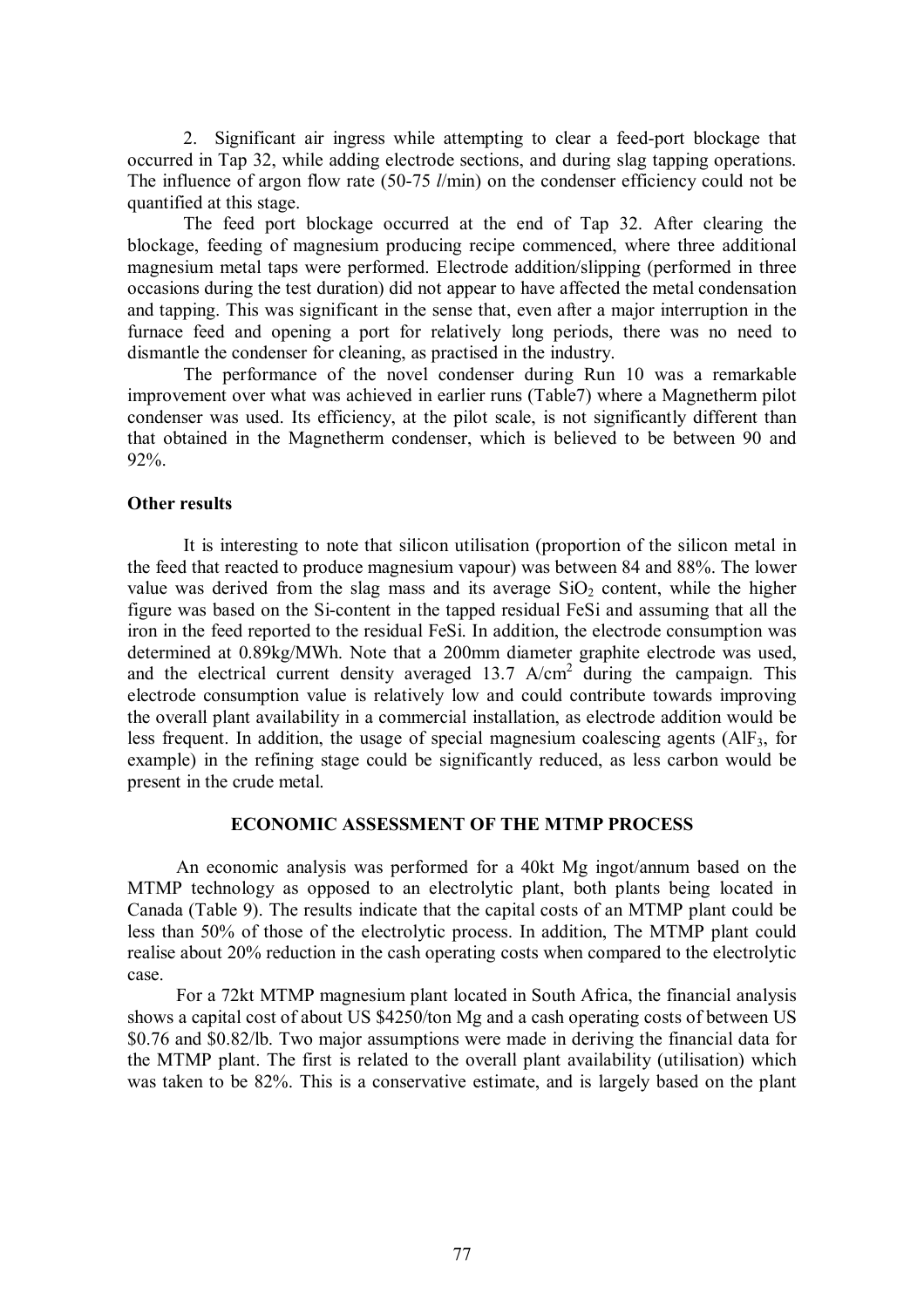2. Significant air ingress while attempting to clear a feed-port blockage that occurred in Tap 32, while adding electrode sections, and during slag tapping operations. The influence of argon flow rate (50-75 *l*/min) on the condenser efficiency could not be quantified at this stage.

The feed port blockage occurred at the end of Tap 32. After clearing the blockage, feeding of magnesium producing recipe commenced, where three additional magnesium metal taps were performed. Electrode addition/slipping (performed in three occasions during the test duration) did not appear to have affected the metal condensation and tapping. This was significant in the sense that, even after a major interruption in the furnace feed and opening a port for relatively long periods, there was no need to dismantle the condenser for cleaning, as practised in the industry.

The performance of the novel condenser during Run 10 was a remarkable improvement over what was achieved in earlier runs (Table7) where a Magnetherm pilot condenser was used. Its efficiency, at the pilot scale, is not significantly different than that obtained in the Magnetherm condenser, which is believed to be between 90 and 92%.

## **Other results**

It is interesting to note that silicon utilisation (proportion of the silicon metal in the feed that reacted to produce magnesium vapour) was between 84 and 88%. The lower value was derived from the slag mass and its average  $SiO<sub>2</sub>$  content, while the higher figure was based on the Si-content in the tapped residual FeSi and assuming that all the iron in the feed reported to the residual FeSi. In addition, the electrode consumption was determined at 0.89kg/MWh. Note that a 200mm diameter graphite electrode was used, and the electrical current density averaged  $13.7$  A/cm<sup>2</sup> during the campaign. This electrode consumption value is relatively low and could contribute towards improving the overall plant availability in a commercial installation, as electrode addition would be less frequent. In addition, the usage of special magnesium coalescing agents  $(AIF_3, for$ example) in the refining stage could be significantly reduced, as less carbon would be present in the crude metal.

### **ECONOMIC ASSESSMENT OF THE MTMP PROCESS**

An economic analysis was performed for a 40kt Mg ingot/annum based on the MTMP technology as opposed to an electrolytic plant, both plants being located in Canada (Table 9). The results indicate that the capital costs of an MTMP plant could be less than 50% of those of the electrolytic process. In addition, The MTMP plant could realise about 20% reduction in the cash operating costs when compared to the electrolytic case.

For a 72kt MTMP magnesium plant located in South Africa, the financial analysis shows a capital cost of about US \$4250/ton Mg and a cash operating costs of between US \$0.76 and \$0.82/lb. Two major assumptions were made in deriving the financial data for the MTMP plant. The first is related to the overall plant availability (utilisation) which was taken to be 82%. This is a conservative estimate, and is largely based on the plant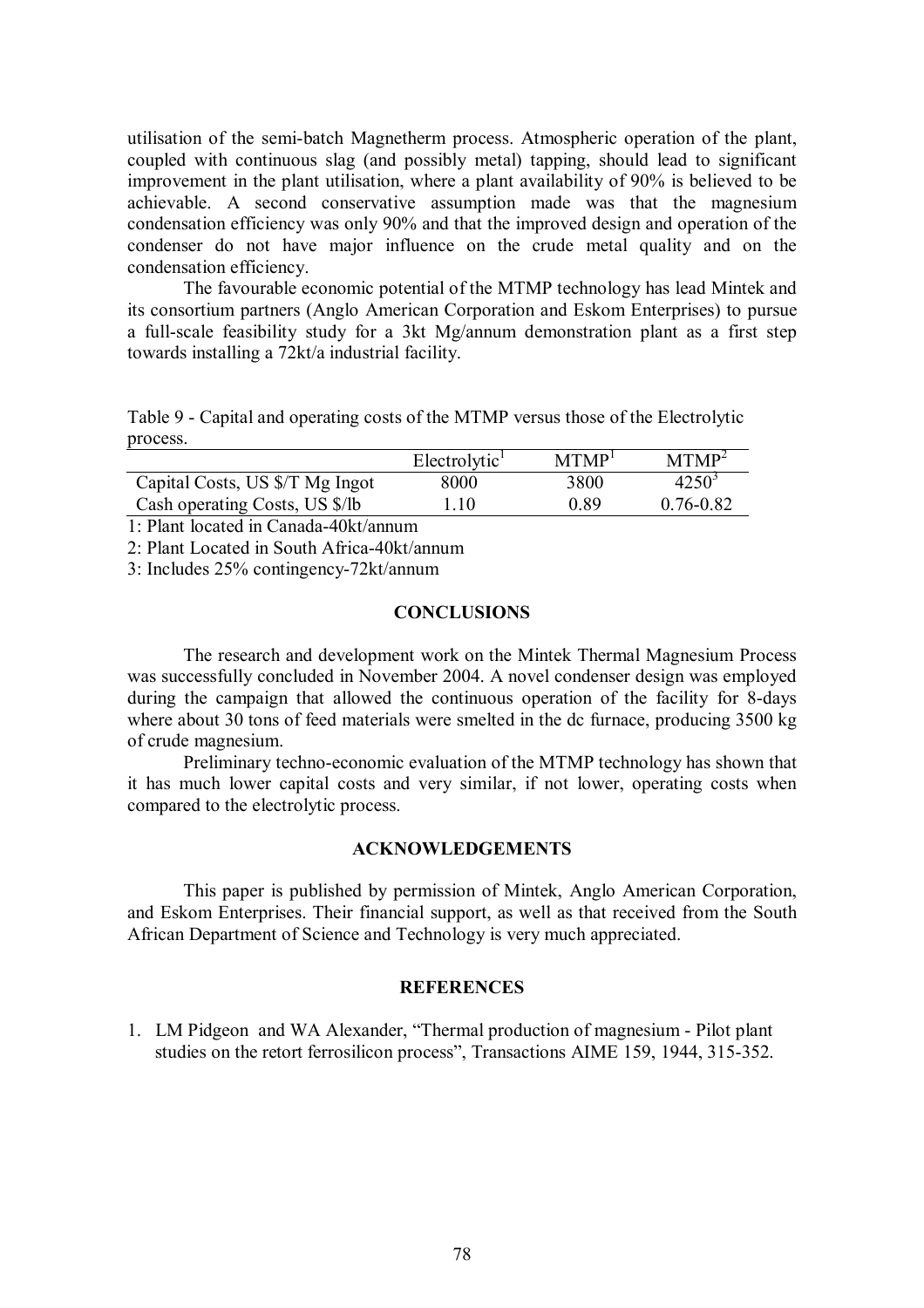utilisation of the semi-batch Magnetherm process. Atmospheric operation of the plant, coupled with continuous slag (and possibly metal) tapping, should lead to significant improvement in the plant utilisation, where a plant availability of 90% is believed to be achievable. A second conservative assumption made was that the magnesium condensation efficiency was only 90% and that the improved design and operation of the condenser do not have major influence on the crude metal quality and on the condensation efficiency.

The favourable economic potential of the MTMP technology has lead Mintek and its consortium partners (Anglo American Corporation and Eskom Enterprises) to pursue a full-scale feasibility study for a 3kt Mg/annum demonstration plant as a first step towards installing a 72kt/a industrial facility.

Table 9 - Capital and operating costs of the MTMP versus those of the Electrolytic process.

|                                 | Electrolytic <sup>1</sup> | MTMP <sup>1</sup> | MTMP <sup>2</sup> |
|---------------------------------|---------------------------|-------------------|-------------------|
| Capital Costs, US \$/T Mg Ingot | 8000                      | 3800              | $4250^3$          |
| Cash operating Costs, US \$/lb  | .10                       | 0 89              | $0.76 - 0.82$     |

1: Plant located in Canada-40kt/annum

2: Plant Located in South Africa-40kt/annum

3: Includes 25% contingency-72kt/annum

# **CONCLUSIONS**

The research and development work on the Mintek Thermal Magnesium Process was successfully concluded in November 2004. A novel condenser design was employed during the campaign that allowed the continuous operation of the facility for 8-days where about 30 tons of feed materials were smelted in the dc furnace, producing 3500 kg of crude magnesium.

Preliminary techno-economic evaluation of the MTMP technology has shown that it has much lower capital costs and very similar, if not lower, operating costs when compared to the electrolytic process.

### **ACKNOWLEDGEMENTS**

This paper is published by permission of Mintek, Anglo American Corporation, and Eskom Enterprises. Their financial support, as well as that received from the South African Department of Science and Technology is very much appreciated.

### **REFERENCES**

1. LM Pidgeon and WA Alexander, "Thermal production of magnesium - Pilot plant studies on the retort ferrosilicon process", Transactions AIME 159, 1944, 315-352.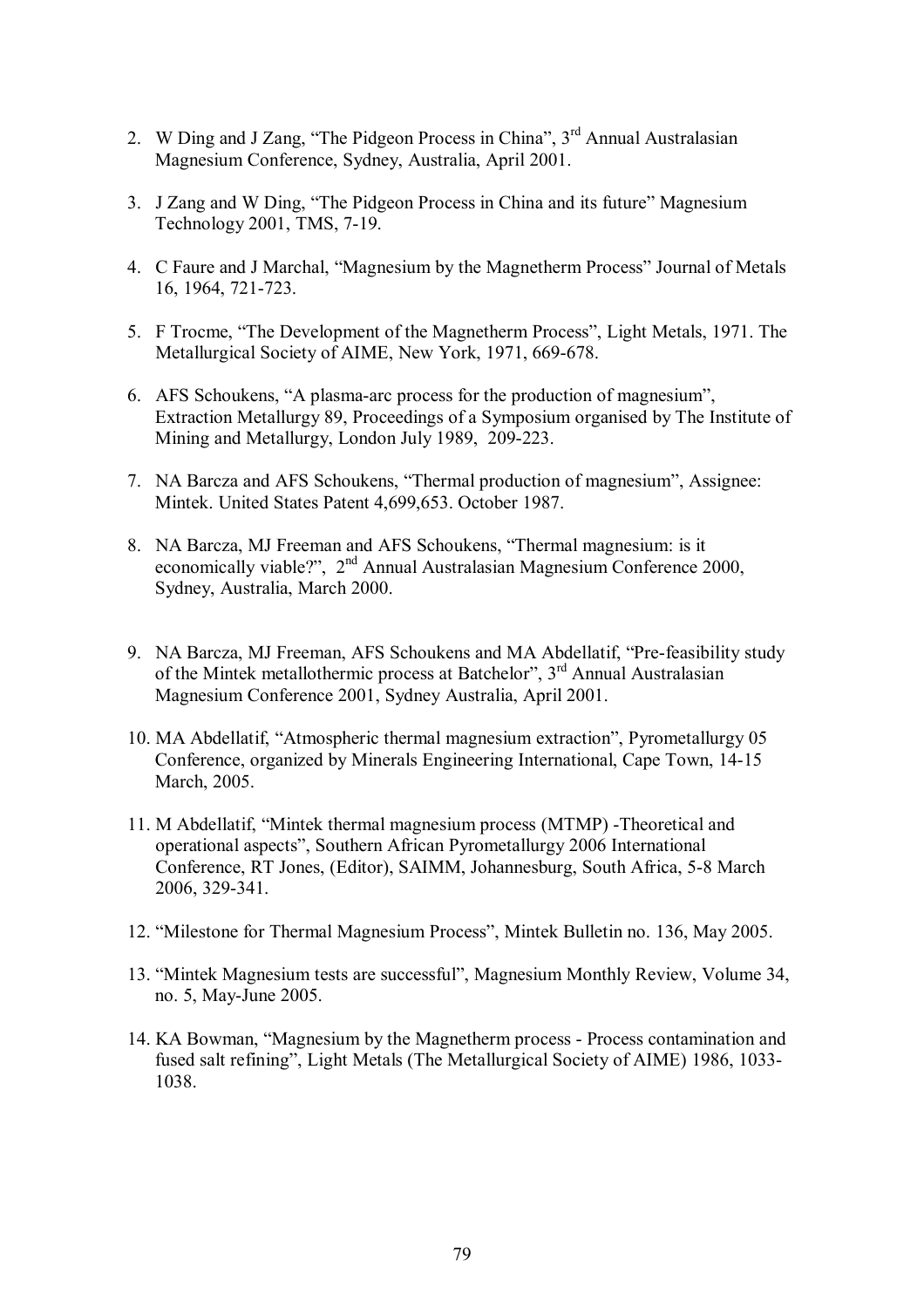- 2. W Ding and J Zang, "The Pidgeon Process in China",  $3<sup>rd</sup>$  Annual Australasian Magnesium Conference, Sydney, Australia, April 2001.
- 3. J Zang and W Ding, "The Pidgeon Process in China and its future" Magnesium Technology 2001, TMS, 7-19.
- 4. C Faure and J Marchal, "Magnesium by the Magnetherm Process" Journal of Metals 16, 1964, 721-723.
- 5. F Trocme, "The Development of the Magnetherm Process", Light Metals, 1971. The Metallurgical Society of AIME, New York, 1971, 669-678.
- 6. AFS Schoukens, "A plasma-arc process for the production of magnesium", Extraction Metallurgy 89, Proceedings of a Symposium organised by The Institute of Mining and Metallurgy, London July 1989, 209-223.
- 7. NA Barcza and AFS Schoukens, "Thermal production of magnesium", Assignee: Mintek. United States Patent 4,699,653. October 1987.
- 8. NA Barcza, MJ Freeman and AFS Schoukens, "Thermal magnesium: is it economically viable?", 2<sup>nd</sup> Annual Australasian Magnesium Conference 2000, Sydney, Australia, March 2000.
- 9. NA Barcza, MJ Freeman, AFS Schoukens and MA Abdellatif, "Pre-feasibility study of the Mintek metallothermic process at Batchelor", 3<sup>rd</sup> Annual Australasian Magnesium Conference 2001, Sydney Australia, April 2001.
- 10. MA Abdellatif, "Atmospheric thermal magnesium extraction", Pyrometallurgy 05 Conference, organized by Minerals Engineering International, Cape Town, 14-15 March, 2005.
- 11. M Abdellatif, "Mintek thermal magnesium process (MTMP) -Theoretical and operational aspects", Southern African Pyrometallurgy 2006 International Conference, RT Jones, (Editor), SAIMM, Johannesburg, South Africa, 5-8 March 2006, 329-341.
- 12. "Milestone for Thermal Magnesium Process", Mintek Bulletin no. 136, May 2005.
- 13. "Mintek Magnesium tests are successful", Magnesium Monthly Review, Volume 34, no. 5, May-June 2005.
- 14. KA Bowman, "Magnesium by the Magnetherm process Process contamination and fused salt refining", Light Metals (The Metallurgical Society of AIME) 1986, 1033- 1038.